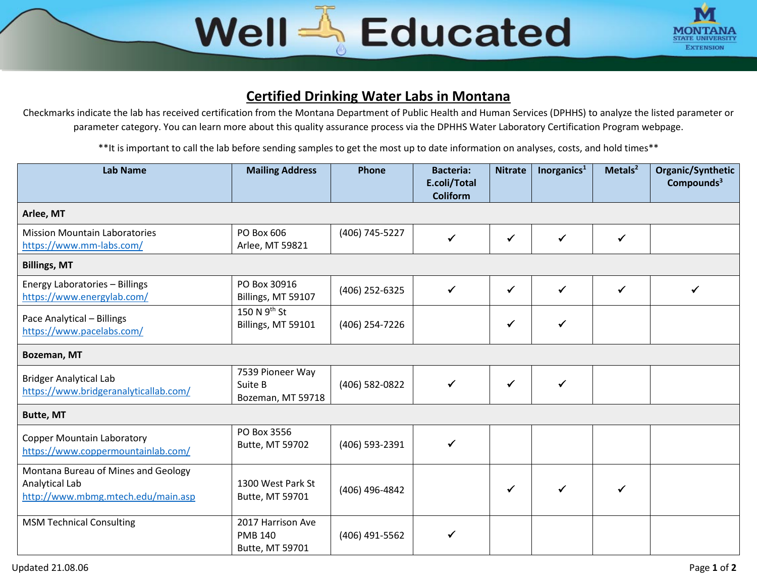## Well & Educated



## **Certified Drinking Water Labs in Montana**

Checkmarks indicate the lab has received certification from the Montana Department of Public Health and Human Services (DPHHS) to analyze the listed parameter or parameter category. You can learn more about this quality assurance process via the DPHHS Water Laboratory Certification Program webpage.

\*\*It is important to call the lab before sending samples to get the most up to date information on analyses, costs, and hold times\*\*

| <b>Lab Name</b>                                                                             | <b>Mailing Address</b>                                 | <b>Phone</b>   | <b>Bacteria:</b><br>E.coli/Total<br><b>Coliform</b> | <b>Nitrate</b> | Inorganics <sup>1</sup> | Metals $2$ | Organic/Synthetic<br>Compounds <sup>3</sup> |  |  |  |
|---------------------------------------------------------------------------------------------|--------------------------------------------------------|----------------|-----------------------------------------------------|----------------|-------------------------|------------|---------------------------------------------|--|--|--|
| Arlee, MT                                                                                   |                                                        |                |                                                     |                |                         |            |                                             |  |  |  |
| <b>Mission Mountain Laboratories</b><br>https://www.mm-labs.com/                            | PO Box 606<br>Arlee, MT 59821                          | (406) 745-5227 | $\checkmark$                                        | ✓              | $\checkmark$            | ✓          |                                             |  |  |  |
| <b>Billings, MT</b>                                                                         |                                                        |                |                                                     |                |                         |            |                                             |  |  |  |
| Energy Laboratories - Billings<br>https://www.energylab.com/                                | PO Box 30916<br>Billings, MT 59107                     | (406) 252-6325 | $\checkmark$                                        | $\checkmark$   | $\checkmark$            | ✔          | ✓                                           |  |  |  |
| Pace Analytical - Billings<br>https://www.pacelabs.com/                                     | 150 N $9th$ St<br>Billings, MT 59101                   | (406) 254-7226 |                                                     | $\checkmark$   | ✓                       |            |                                             |  |  |  |
| Bozeman, MT                                                                                 |                                                        |                |                                                     |                |                         |            |                                             |  |  |  |
| <b>Bridger Analytical Lab</b><br>https://www.bridgeranalyticallab.com/                      | 7539 Pioneer Way<br>Suite B<br>Bozeman, MT 59718       | (406) 582-0822 | $\checkmark$                                        | $\checkmark$   | ✓                       |            |                                             |  |  |  |
| <b>Butte, MT</b>                                                                            |                                                        |                |                                                     |                |                         |            |                                             |  |  |  |
| <b>Copper Mountain Laboratory</b><br>https://www.coppermountainlab.com/                     | PO Box 3556<br>Butte, MT 59702                         | (406) 593-2391 | $\checkmark$                                        |                |                         |            |                                             |  |  |  |
| Montana Bureau of Mines and Geology<br>Analytical Lab<br>http://www.mbmg.mtech.edu/main.asp | 1300 West Park St<br>Butte, MT 59701                   | (406) 496-4842 |                                                     |                |                         | ✓          |                                             |  |  |  |
| <b>MSM Technical Consulting</b>                                                             | 2017 Harrison Ave<br><b>PMB 140</b><br>Butte, MT 59701 | (406) 491-5562 | $\checkmark$                                        |                |                         |            |                                             |  |  |  |